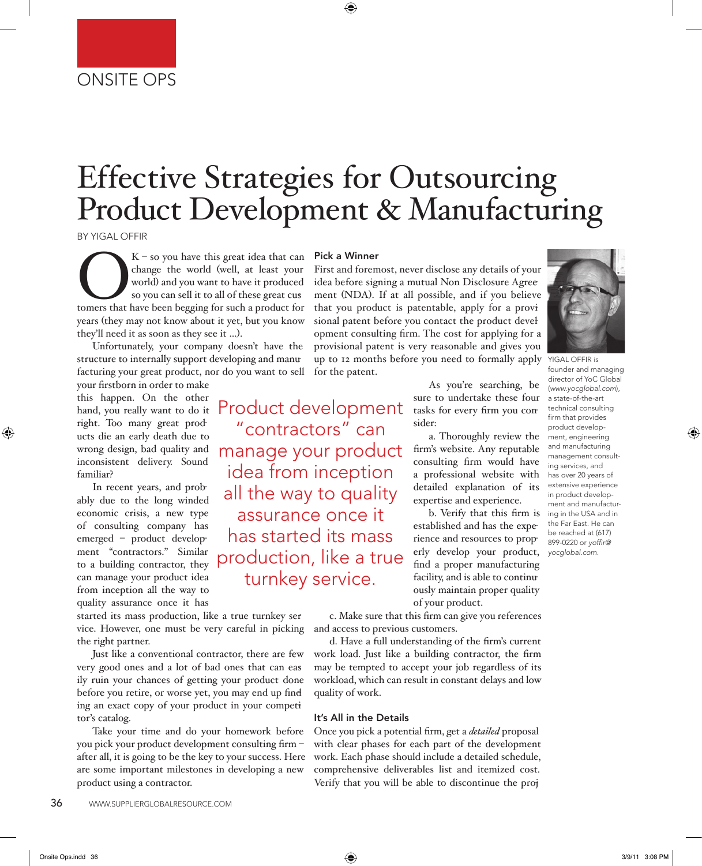# Effective Strategies for Outsourcing Product Development & Manufacturing

BY YIGAL OFFIR

 $K$  – so you have this great idea that can change the world (well, at least your world) and you want to have it produced so you can sell it to all of these great cus tomers that have been begging for such a product for we change the world (well, at least your world) and you want to have it produced so you can sell it to all of these great cusyears (they may not know about it yet, but you know they'll need it as soon as they see it …).

Unfortunately, your company doesn't have the structure to internally support developing and manufacturing your great product, nor do you want to sell

your firstborn in order to make this happen. On the other hand, you really want to do it right. Too many great products die an early death due to wrong design, bad quality and inconsistent delivery. Sound familiar?

In recent years, and probably due to the long winded economic crisis, a new type of consulting company has emerged – product development "contractors." Similar to a building contractor, they can manage your product idea from inception all the way to quality assurance once it has

started its mass production, like a true turnkey service. However, one must be very careful in picking the right partner.

Just like a conventional contractor, there are few very good ones and a lot of bad ones that can easily ruin your chances of getting your product done before you retire, or worse yet, you may end up finding an exact copy of your product in your competitor's catalog.

Take your time and do your homework before you pick your product development consulting firm – after all, it is going to be the key to your success. Here are some important milestones in developing a new product using a contractor.

### Pick a Winner

Product development "contractors" can

manage your product idea from inception

all the way to quality assurance once it has started its mass

production, like a true

turnkey service.

First and foremost, never disclose any details of your idea before signing a mutual Non Disclosure Agreement (NDA). If at all possible, and if you believe that you product is patentable, apply for a provisional patent before you contact the product development consulting firm. The cost for applying for a provisional patent is very reasonable and gives you up to 12 months before you need to formally apply for the patent.

> As you're searching, be sure to undertake these four tasks for every firm you consider:

a. Thoroughly review the firm's website. Any reputable consulting firm would have a professional website with detailed explanation of its expertise and experience.

b. Verify that this firm is established and has the experience and resources to properly develop your product, find a proper manufacturing facility, and is able to continuously maintain proper quality of your product.

c. Make sure that this firm can give you references and access to previous customers.

d. Have a full understanding of the firm's current work load. Just like a building contractor, the firm may be tempted to accept your job regardless of its workload, which can result in constant delays and low quality of work.

### It's All in the Details

Once you pick a potential firm, get a *detailed* proposal with clear phases for each part of the development work. Each phase should include a detailed schedule, comprehensive deliverables list and itemized cost. Verify that you will be able to discontinue the proj-



YIGAL OFFIR is founder and managing director of YoC Global (*www.yocglobal.com*), a state-of-the-art technical consulting firm that provides product development, engineering and manufacturing management consulting services, and has over 20 years of extensive experience in product development and manufacturing in the USA and in the Far East. He can be reached at (617) 899-0220 or *yoffir@ yocglobal.com.*